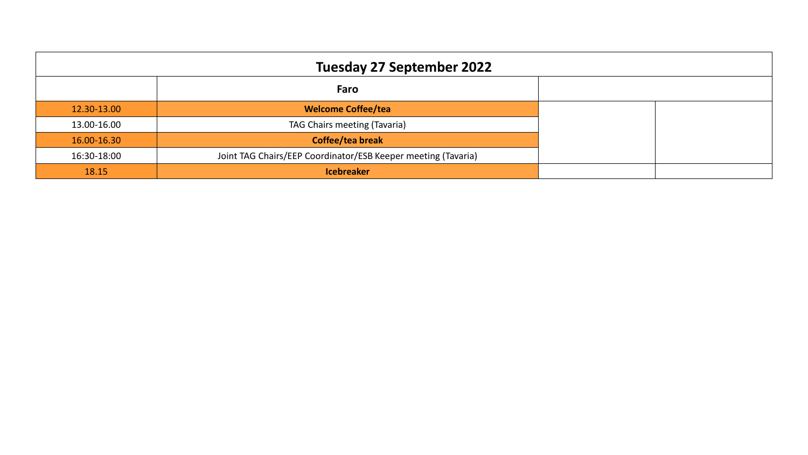| <b>Tuesday 27 September 2022</b> |                                                               |  |  |  |  |  |  |  |
|----------------------------------|---------------------------------------------------------------|--|--|--|--|--|--|--|
|                                  | Faro                                                          |  |  |  |  |  |  |  |
| 12.30-13.00                      | <b>Welcome Coffee/tea</b>                                     |  |  |  |  |  |  |  |
| 13.00-16.00                      | TAG Chairs meeting (Tavaria)                                  |  |  |  |  |  |  |  |
| 16.00-16.30                      | Coffee/tea break                                              |  |  |  |  |  |  |  |
| 16:30-18:00                      | Joint TAG Chairs/EEP Coordinator/ESB Keeper meeting (Tavaria) |  |  |  |  |  |  |  |
| 18.15                            | <b>Icebreaker</b>                                             |  |  |  |  |  |  |  |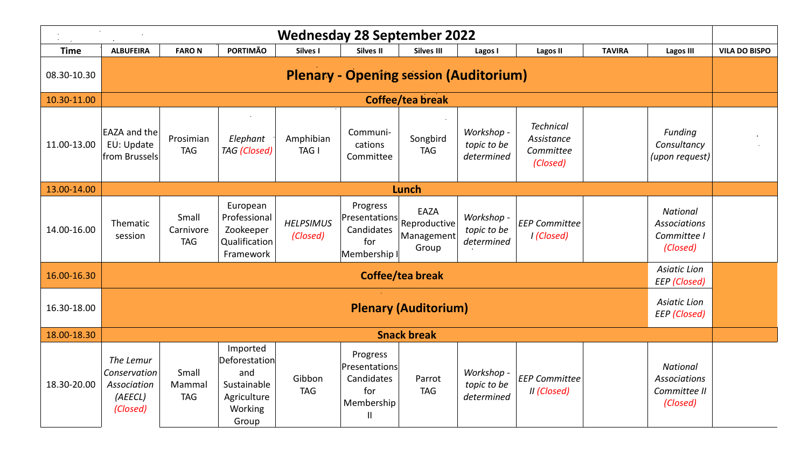|             | <b>Wednesday 28 September 2022</b>                                        |                                  |                                                                                    |                              |                                                                              |                                                                                   |                                         |                                                         |               |                                                                    |                      |
|-------------|---------------------------------------------------------------------------|----------------------------------|------------------------------------------------------------------------------------|------------------------------|------------------------------------------------------------------------------|-----------------------------------------------------------------------------------|-----------------------------------------|---------------------------------------------------------|---------------|--------------------------------------------------------------------|----------------------|
| <b>Time</b> | <b>ALBUFEIRA</b>                                                          | <b>FARON</b>                     | <b>PORTIMÃO</b>                                                                    | Silves I                     | Silves II                                                                    | <b>Silves III</b>                                                                 | Lagos I                                 | <b>Lagos II</b>                                         | <b>TAVIRA</b> | <b>Lagos III</b>                                                   | <b>VILA DO BISPO</b> |
| 08.30-10.30 | <b>Plenary - Opening session (Auditorium)</b>                             |                                  |                                                                                    |                              |                                                                              |                                                                                   |                                         |                                                         |               |                                                                    |                      |
| 10.30-11.00 | Coffee/tea break                                                          |                                  |                                                                                    |                              |                                                                              |                                                                                   |                                         |                                                         |               |                                                                    |                      |
| 11.00-13.00 | <b>EAZA and the</b><br>EU: Update<br>from Brussels                        | Prosimian<br><b>TAG</b>          | Elephant<br><b>TAG</b> (Closed)                                                    | Amphibian<br>TAG I           | Communi-<br>cations<br>Committee                                             | Songbird<br><b>TAG</b>                                                            | Workshop -<br>topic to be<br>determined | <b>Technical</b><br>Assistance<br>Committee<br>(Closed) |               | Funding<br>Consultancy<br>(upon request)                           |                      |
| 13.00-14.00 |                                                                           |                                  |                                                                                    |                              |                                                                              | Lunch                                                                             |                                         |                                                         |               |                                                                    |                      |
| 14.00-16.00 | Thematic<br>session                                                       | Small<br>Carnivore<br><b>TAG</b> | European<br>Professional<br>Zookeeper<br>Qualification<br>Framework                | <b>HELPSIMUS</b><br>(Closed) | Progress<br>Candidates<br>for<br>Membership I                                | EAZA<br>$\left \mathsf{Presentations}\right $ Reproductive<br>Management<br>Group | Workshop -<br>topic to be<br>determined | <b>EEP Committee</b><br>I (Closed)                      |               | <b>National</b><br>Associations<br>Committee I<br>(Closed)         |                      |
| 16.00-16.30 | <b>Asiatic Lion</b><br>Coffee/tea break<br><b>EEP</b> (Closed)            |                                  |                                                                                    |                              |                                                                              |                                                                                   |                                         |                                                         |               |                                                                    |                      |
| 16.30-18.00 | <b>Asiatic Lion</b><br><b>Plenary (Auditorium)</b><br><b>EEP</b> (Closed) |                                  |                                                                                    |                              |                                                                              |                                                                                   |                                         |                                                         |               |                                                                    |                      |
| 18.00-18.30 |                                                                           |                                  |                                                                                    |                              |                                                                              | <b>Snack break</b>                                                                |                                         |                                                         |               |                                                                    |                      |
| 18.30-20.00 | The Lemur<br>Conservation<br>Association<br>(AEECL)<br>(Closed)           | Small<br>Mammal<br><b>TAG</b>    | Imported<br>Deforestation<br>and<br>Sustainable<br>Agriculture<br>Working<br>Group | Gibbon<br><b>TAG</b>         | Progress<br>Presentations<br>Candidates<br>for<br>Membership<br>$\mathbf{H}$ | Parrot<br><b>TAG</b>                                                              | Workshop -<br>topic to be<br>determined | <b>EEP Committee</b><br>II (Closed)                     |               | <b>National</b><br><b>Associations</b><br>Committee II<br>(Closed) |                      |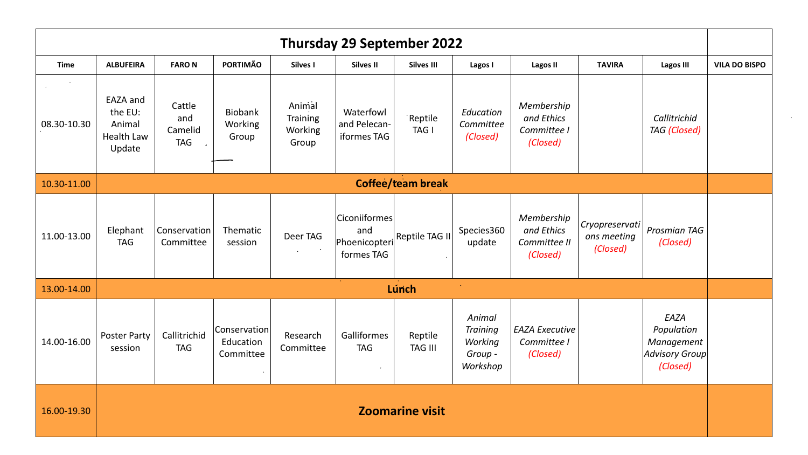| Thursday 29 September 2022 |                                                              |                                        |                                        |                                        |                                                     |                           |                                                             |                                                      |                                           |                                                                |                      |
|----------------------------|--------------------------------------------------------------|----------------------------------------|----------------------------------------|----------------------------------------|-----------------------------------------------------|---------------------------|-------------------------------------------------------------|------------------------------------------------------|-------------------------------------------|----------------------------------------------------------------|----------------------|
| <b>Time</b>                | <b>ALBUFEIRA</b>                                             | <b>FARON</b>                           | <b>PORTIMÃO</b>                        | Silves I                               | <b>Silves II</b>                                    | <b>Silves III</b>         | Lagos I                                                     | <b>Lagos II</b>                                      | <b>TAVIRA</b>                             | <b>Lagos III</b>                                               | <b>VILA DO BISPO</b> |
| 08.30-10.30                | EAZA and<br>the EU:<br>Animal<br><b>Health Law</b><br>Update | Cattle<br>and<br>Camelid<br><b>TAG</b> | Biobank<br>Working<br>Group            | Animal<br>Training<br>Working<br>Group | Waterfowl<br>and Pelecan-<br>iformes TAG            | Reptile<br>TAG I          | Education<br>Committee<br>(Closed)                          | Membership<br>and Ethics<br>Committee I<br>(Closed)  |                                           | Callitrichid<br><b>TAG</b> (Closed)                            |                      |
| 10.30-11.00                |                                                              |                                        |                                        |                                        |                                                     | <b>Coffee/team break</b>  |                                                             |                                                      |                                           |                                                                |                      |
| 11.00-13.00                | Elephant<br><b>TAG</b>                                       | Conservation<br>Committee              | Thematic<br>session                    | Deer TAG                               | Ciconiiformes<br>and<br>Phoenicopteri<br>formes TAG | Reptile TAG II            | Species360<br>update                                        | Membership<br>and Ethics<br>Committee II<br>(Closed) | Cryopreservati<br>ons meeting<br>(Closed) | Prosmian TAG<br>(Closed)                                       |                      |
| 13.00-14.00                |                                                              |                                        |                                        |                                        |                                                     | Lúnch                     | $\sim$                                                      |                                                      |                                           |                                                                |                      |
| 14.00-16.00                | Poster Party<br>session                                      | Callitrichid<br><b>TAG</b>             | Conservation<br>Education<br>Committee | Research<br>Committee                  | Galliformes<br><b>TAG</b><br>$\sim$                 | Reptile<br><b>TAG III</b> | Animal<br><b>Training</b><br>Working<br>Group -<br>Workshop | <b>EAZA Executive</b><br>Committee I<br>(Closed)     |                                           | EAZA<br>Population<br>Management<br>Advisory Group<br>(Closed) |                      |
| 16.00-19.30                | <b>Zoomarine visit</b>                                       |                                        |                                        |                                        |                                                     |                           |                                                             |                                                      |                                           |                                                                |                      |

 $\mathcal{A}^{\mathcal{A}}$  and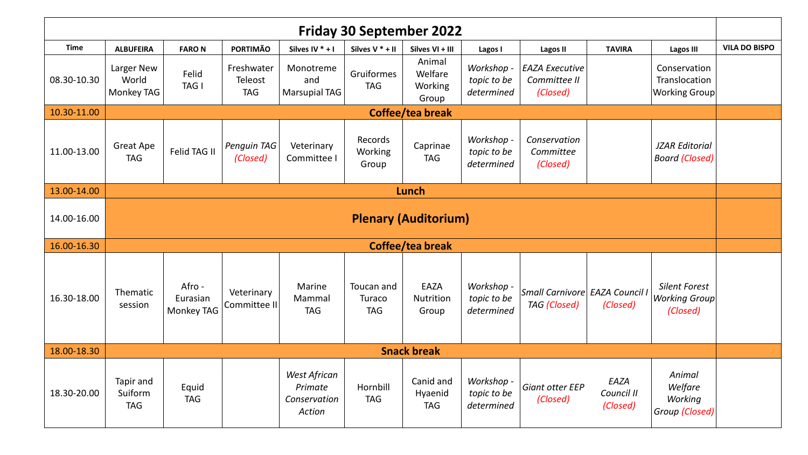| <b>Friday 30 September 2022</b> |                                    |                                  |                                     |                                                   |                                    |                                       |                                         |                                                       |                                |                                                          |                      |
|---------------------------------|------------------------------------|----------------------------------|-------------------------------------|---------------------------------------------------|------------------------------------|---------------------------------------|-----------------------------------------|-------------------------------------------------------|--------------------------------|----------------------------------------------------------|----------------------|
| <b>Time</b>                     | <b>ALBUFEIRA</b>                   | <b>FARON</b>                     | <b>PORTIMÃO</b>                     | Silves IV $* + 1$                                 | Silves $V^*$ + II                  | Silves VI + III                       | Lagos I                                 | <b>Lagos II</b>                                       | <b>TAVIRA</b>                  | <b>Lagos III</b>                                         | <b>VILA DO BISPO</b> |
| 08.30-10.30                     | Larger New<br>World<br>Monkey TAG  | Felid<br>TAG I                   | Freshwater<br>Teleost<br><b>TAG</b> | Monotreme<br>and<br><b>Marsupial TAG</b>          | Gruiformes<br><b>TAG</b>           | Animal<br>Welfare<br>Working<br>Group | Workshop -<br>topic to be<br>determined | <b>EAZA Executive</b><br>Committee II<br>(Closed)     |                                | Conservation<br>Translocation<br><b>Working Group</b>    |                      |
| 10.30-11.00                     | <b>Coffee/tea break</b>            |                                  |                                     |                                                   |                                    |                                       |                                         |                                                       |                                |                                                          |                      |
| 11.00-13.00                     | Great Ape<br><b>TAG</b>            | Felid TAG II                     | Penguin TAG<br>(Closed)             | Veterinary<br>Committee I                         | Records<br>Working<br>Group        | Caprinae<br><b>TAG</b>                | Workshop -<br>topic to be<br>determined | Conservation<br>Committee<br>(Closed)                 |                                | <b>JZAR Editorial</b><br><b>Board (Closed)</b>           |                      |
| 13.00-14.00                     |                                    |                                  |                                     |                                                   |                                    | <b>Lunch</b>                          |                                         |                                                       |                                |                                                          |                      |
| 14.00-16.00                     | <b>Plenary (Auditorium)</b>        |                                  |                                     |                                                   |                                    |                                       |                                         |                                                       |                                |                                                          |                      |
| 16.00-16.30                     |                                    |                                  |                                     |                                                   |                                    | <b>Coffee/tea break</b>               |                                         |                                                       |                                |                                                          |                      |
| 16.30-18.00                     | Thematic<br>session                | Afro -<br>Eurasian<br>Monkey TAG | Veterinary<br>Committee II          | Marine<br>Mammal<br><b>TAG</b>                    | Toucan and<br>Turaco<br><b>TAG</b> | EAZA<br>Nutrition<br>Group            | Workshop -<br>topic to be<br>determined | Small Carnivore EAZA Council I<br><b>TAG</b> (Closed) | (Closed)                       | <b>Silent Forest</b><br><b>Working Group</b><br>(Closed) |                      |
| 18.00-18.30                     |                                    |                                  |                                     |                                                   |                                    | <b>Snack break</b>                    |                                         |                                                       |                                |                                                          |                      |
| 18.30-20.00                     | Tapir and<br>Suiform<br><b>TAG</b> | Equid<br><b>TAG</b>              |                                     | West African<br>Primate<br>Conservation<br>Action | Hornbill<br><b>TAG</b>             | Canid and<br>Hyaenid<br><b>TAG</b>    | Workshop -<br>topic to be<br>determined | <b>Giant otter EEP</b><br>(Closed)                    | EAZA<br>Council II<br>(Closed) | Animal<br>Welfare<br>Working<br>Group (Closed)           |                      |